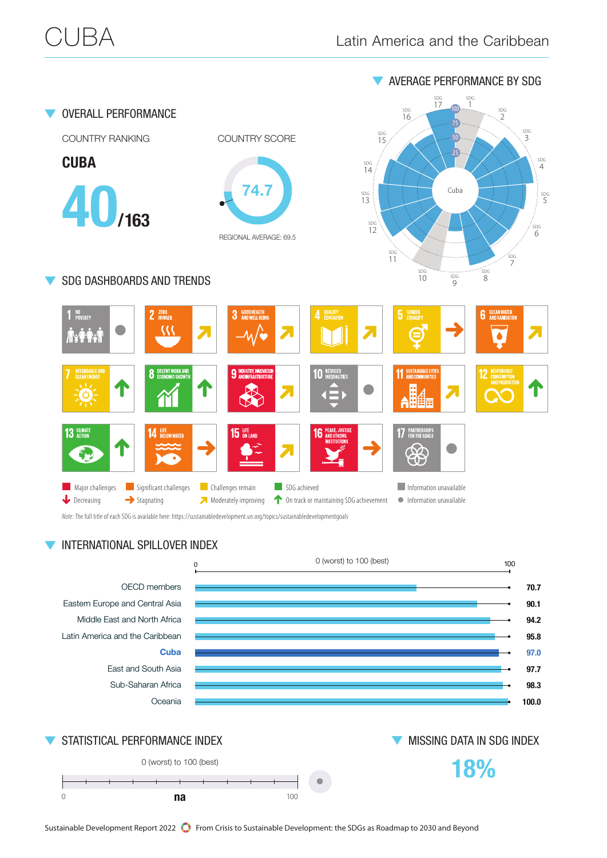

Sustainable Development Report 2022 **Supplement** From Crisis to Sustainable Development: the SDGs as Roadmap to 2030 and Beyond